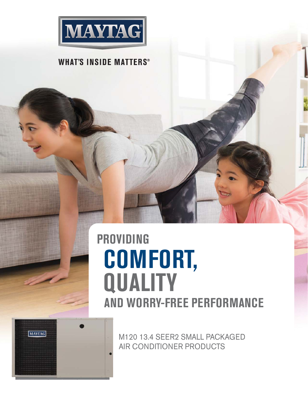

### **WHAT'S INSIDE MATTERS®**

## **COMFORT, QUALITY PROVIDING AND WORRY-FREE PERFORMANCE**



M120 13.4 SEER2 SMALL PACKAGED AIR CONDITIONER PRODUCTS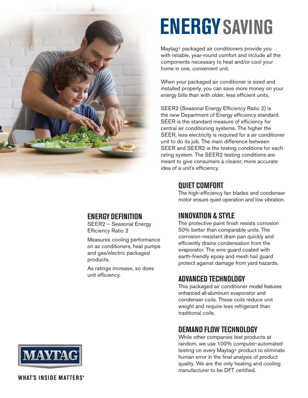

# **ENERGYSAVING**

Maytag® packaged air conditioners provide you with reliable, year-round comfort and include all the components necessary to heat and/or cool your home in one, convenient unit.

When your packaged air conditioner is sized and installed properly, you can save more money on your energy bills than with older, less efficient units.

SEER2 (Seasonal Energy Efficiency Ratio 2) is the new Department of Energy efficiency standard. SEER is the standard measure of efficiency for central air conditioning systems. The higher the SEER, less electricity is required for a air conditioner unit to do its job. The main difference between SEER and SEER2 is the testing conditions for each rating system. The SEER2 testing conditions are meant to give consumers a clearer, more accurate idea of a unit's efficiency.

#### **QUIET COMFORT**

The high-efficiency fan blades and condenser motor ensure quiet operation and low vibration.

#### **ENERGY DEFINITION**

SEER2 – Seasonal Energy Efficiency Ratio 2

Measures cooling performance on air conditioners, heat pumps and gas/electric packaged products.

As ratings increase, so does unit efficiency.

### **INNOVATION & STYLE**

The protective paint finish resists corrosion 50% better than comparable units. The corrosion-resistant drain pan quickly and efficiently drains condensation from the evaporator. The wire guard coated with earth-friendly epoxy and mesh hail guard protect against damage from yard hazards.

### **ADVANCED TECHNOLOGY**

This packaged air conditioner model features enhanced all-aluminum evaporator and condenser coils. These coils reduce unit weight and require less refrigerant than traditional coils.

#### **DEMAND FLOW TECHNOLOGY**

While other companies test products at random, we use 100% computer-automated testing on every Maytag® product to eliminate human error in the final analysis of product quality. We are the only heating and cooling manufacturer to be DFT certified.



**WHAT'S INSIDE MATTERS®**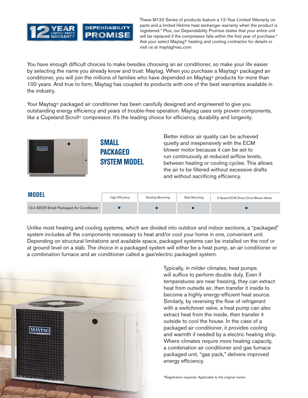

These M120 Series of products feature a 12-Year Limited Warranty on parts and a limited lifetime heat exchanger warranty when the product is registered.\* Plus, our Dependability Promise states that your entire unit will be replaced if the compressor fails within the first year of purchase.<sup>\*</sup> Ask your select Maytag® heating and cooling contractor for details or visit us at maytaghvac.com.

You have enough difficult choices to make besides choosing an air conditioner, so make your life easier by selecting the name you already know and trust: Maytag. When you purchase a Maytag® packaged air conditioner, you will join the millions of families who have depended on Maytag® products for more than 100 years. And true to form, Maytag has coupled its products with one of the best warranties available in the industry.

Your Maytag<sup>®</sup> packaged air conditioner has been carefully designed and engineered to give you outstanding energy efficiency and years of trouble-free operation. Maytag uses only proven components, like a Copeland Scroll® compressor. It's the leading choice for efficiency, durability and longevity.



| <b>MODEL</b>                             | <b>High Efficiency</b> | Rooftop Mounting | Slab Mounting | 5 Speed ECM Direct-Drive Blower Motor |
|------------------------------------------|------------------------|------------------|---------------|---------------------------------------|
| 13.4 SEER Small Packaged Air Conditioner |                        |                  |               |                                       |

Unlike most heating and cooling systems, which are divided into outdoor and indoor sections, a "packaged" system includes all the components necessary to heat and/or cool your home in one, convenient unit. Depending on structural limitations and available space, packaged systems can be installed on the roof or at ground level on a slab. The choice in a packaged system will either be a heat pump, an air conditioner or a combination furnace and air conditioner called a gas/electric packaged system.



Typically, in milder climates, heat pumps will suffice to perform double duty. Even if temperatures are near freezing, they can extract heat from outside air, then transfer it inside to become a highly energy-efficient heat source. Similarly, by reversing the flow of refrigerant with a switchover valve, a heat pump can also extract heat from the inside, then transfer it outside to cool the house. In the case of a packaged air conditioner, it provides cooling and warmth if needed by a electric heating strip. Where climates require more heating capacity, a combination air conditioner and gas furnace packaged unit, "gas pack," delivers improved energy efficiency.